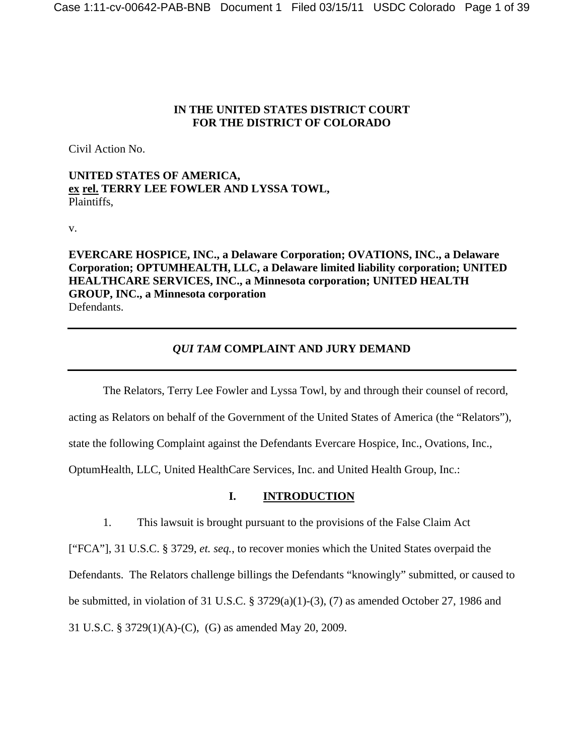#### **IN THE UNITED STATES DISTRICT COURT FOR THE DISTRICT OF COLORADO**

Civil Action No.

**UNITED STATES OF AMERICA, ex rel. TERRY LEE FOWLER AND LYSSA TOWL,**  Plaintiffs,

v.

**EVERCARE HOSPICE, INC., a Delaware Corporation; OVATIONS, INC., a Delaware Corporation; OPTUMHEALTH, LLC, a Delaware limited liability corporation; UNITED HEALTHCARE SERVICES, INC., a Minnesota corporation; UNITED HEALTH GROUP, INC., a Minnesota corporation**  Defendants.

# *QUI TAM* **COMPLAINT AND JURY DEMAND**

 The Relators, Terry Lee Fowler and Lyssa Towl, by and through their counsel of record, acting as Relators on behalf of the Government of the United States of America (the "Relators"), state the following Complaint against the Defendants Evercare Hospice, Inc., Ovations, Inc., OptumHealth, LLC, United HealthCare Services, Inc. and United Health Group, Inc.:

# **I. INTRODUCTION**

1. This lawsuit is brought pursuant to the provisions of the False Claim Act

["FCA"], 31 U.S.C. § 3729, *et. seq.*, to recover monies which the United States overpaid the Defendants. The Relators challenge billings the Defendants "knowingly" submitted, or caused to be submitted, in violation of 31 U.S.C. § 3729(a)(1)-(3), (7) as amended October 27, 1986 and 31 U.S.C. § 3729(1)(A)-(C), (G) as amended May 20, 2009.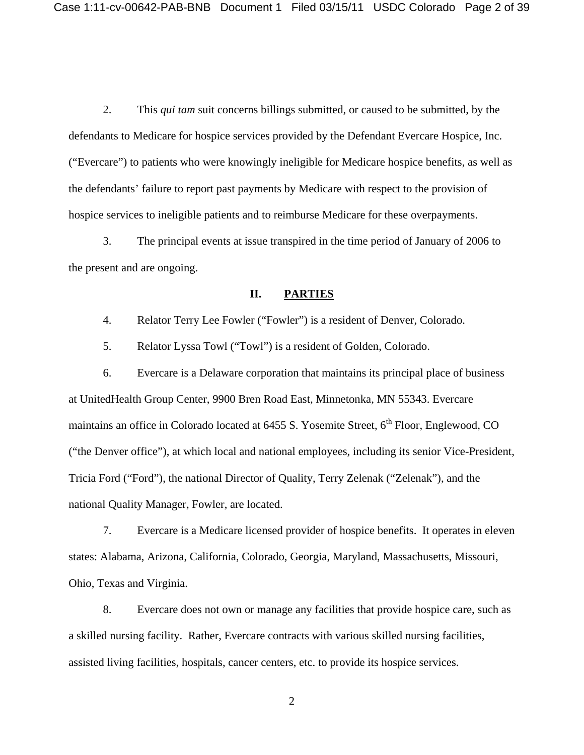2. This *qui tam* suit concerns billings submitted, or caused to be submitted, by the defendants to Medicare for hospice services provided by the Defendant Evercare Hospice, Inc. ("Evercare") to patients who were knowingly ineligible for Medicare hospice benefits, as well as the defendants' failure to report past payments by Medicare with respect to the provision of hospice services to ineligible patients and to reimburse Medicare for these overpayments.

3. The principal events at issue transpired in the time period of January of 2006 to the present and are ongoing.

#### **II. PARTIES**

4. Relator Terry Lee Fowler ("Fowler") is a resident of Denver, Colorado.

5. Relator Lyssa Towl ("Towl") is a resident of Golden, Colorado.

6. Evercare is a Delaware corporation that maintains its principal place of business at UnitedHealth Group Center, 9900 Bren Road East, Minnetonka, MN 55343. Evercare maintains an office in Colorado located at  $6455$  S. Yosemite Street,  $6<sup>th</sup>$  Floor, Englewood, CO ("the Denver office"), at which local and national employees, including its senior Vice-President, Tricia Ford ("Ford"), the national Director of Quality, Terry Zelenak ("Zelenak"), and the national Quality Manager, Fowler, are located.

7. Evercare is a Medicare licensed provider of hospice benefits. It operates in eleven states: Alabama, Arizona, California, Colorado, Georgia, Maryland, Massachusetts, Missouri, Ohio, Texas and Virginia.

8. Evercare does not own or manage any facilities that provide hospice care, such as a skilled nursing facility. Rather, Evercare contracts with various skilled nursing facilities, assisted living facilities, hospitals, cancer centers, etc. to provide its hospice services.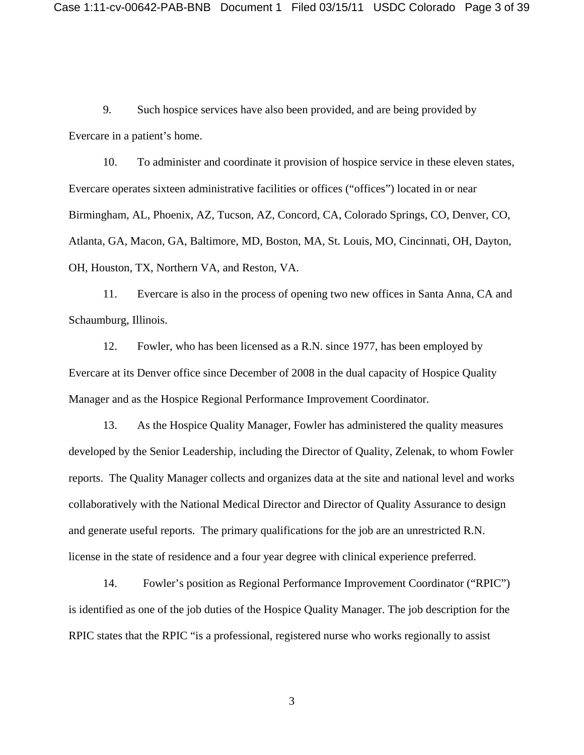9. Such hospice services have also been provided, and are being provided by Evercare in a patient's home.

10. To administer and coordinate it provision of hospice service in these eleven states, Evercare operates sixteen administrative facilities or offices ("offices") located in or near Birmingham, AL, Phoenix, AZ, Tucson, AZ, Concord, CA, Colorado Springs, CO, Denver, CO, Atlanta, GA, Macon, GA, Baltimore, MD, Boston, MA, St. Louis, MO, Cincinnati, OH, Dayton, OH, Houston, TX, Northern VA, and Reston, VA.

11. Evercare is also in the process of opening two new offices in Santa Anna, CA and Schaumburg, Illinois.

12. Fowler, who has been licensed as a R.N. since 1977, has been employed by Evercare at its Denver office since December of 2008 in the dual capacity of Hospice Quality Manager and as the Hospice Regional Performance Improvement Coordinator.

13. As the Hospice Quality Manager, Fowler has administered the quality measures developed by the Senior Leadership, including the Director of Quality, Zelenak, to whom Fowler reports. The Quality Manager collects and organizes data at the site and national level and works collaboratively with the National Medical Director and Director of Quality Assurance to design and generate useful reports. The primary qualifications for the job are an unrestricted R.N. license in the state of residence and a four year degree with clinical experience preferred.

14. Fowler's position as Regional Performance Improvement Coordinator ("RPIC") is identified as one of the job duties of the Hospice Quality Manager. The job description for the RPIC states that the RPIC "is a professional, registered nurse who works regionally to assist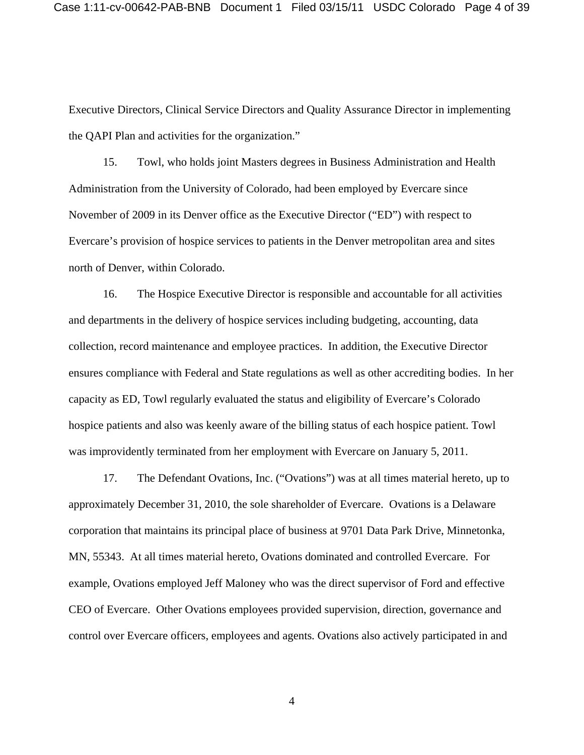Executive Directors, Clinical Service Directors and Quality Assurance Director in implementing the QAPI Plan and activities for the organization."

15. Towl, who holds joint Masters degrees in Business Administration and Health Administration from the University of Colorado, had been employed by Evercare since November of 2009 in its Denver office as the Executive Director ("ED") with respect to Evercare's provision of hospice services to patients in the Denver metropolitan area and sites north of Denver, within Colorado.

16. The Hospice Executive Director is responsible and accountable for all activities and departments in the delivery of hospice services including budgeting, accounting, data collection, record maintenance and employee practices. In addition, the Executive Director ensures compliance with Federal and State regulations as well as other accrediting bodies. In her capacity as ED, Towl regularly evaluated the status and eligibility of Evercare's Colorado hospice patients and also was keenly aware of the billing status of each hospice patient. Towl was improvidently terminated from her employment with Evercare on January 5, 2011.

17. The Defendant Ovations, Inc. ("Ovations") was at all times material hereto, up to approximately December 31, 2010, the sole shareholder of Evercare. Ovations is a Delaware corporation that maintains its principal place of business at 9701 Data Park Drive, Minnetonka, MN, 55343. At all times material hereto, Ovations dominated and controlled Evercare. For example, Ovations employed Jeff Maloney who was the direct supervisor of Ford and effective CEO of Evercare. Other Ovations employees provided supervision, direction, governance and control over Evercare officers, employees and agents. Ovations also actively participated in and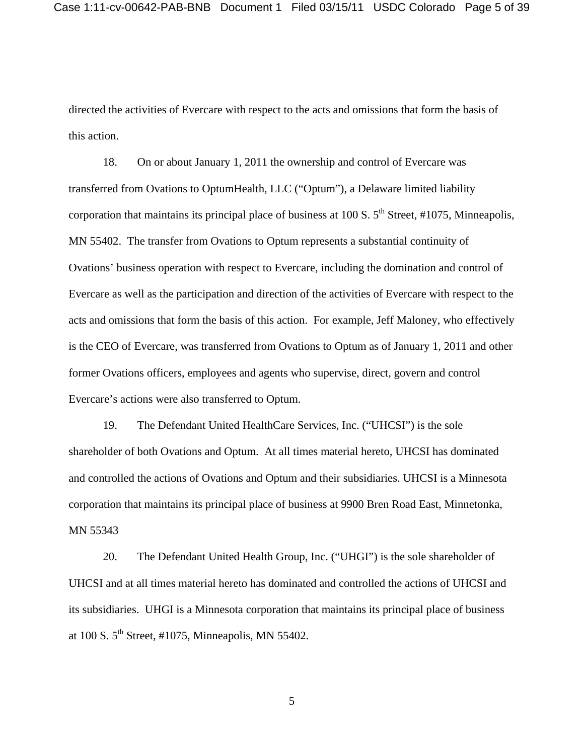directed the activities of Evercare with respect to the acts and omissions that form the basis of this action.

18. On or about January 1, 2011 the ownership and control of Evercare was transferred from Ovations to OptumHealth, LLC ("Optum"), a Delaware limited liability corporation that maintains its principal place of business at 100 S.  $5<sup>th</sup>$  Street, #1075, Minneapolis, MN 55402. The transfer from Ovations to Optum represents a substantial continuity of Ovations' business operation with respect to Evercare, including the domination and control of Evercare as well as the participation and direction of the activities of Evercare with respect to the acts and omissions that form the basis of this action. For example, Jeff Maloney, who effectively is the CEO of Evercare, was transferred from Ovations to Optum as of January 1, 2011 and other former Ovations officers, employees and agents who supervise, direct, govern and control Evercare's actions were also transferred to Optum.

19. The Defendant United HealthCare Services, Inc. ("UHCSI") is the sole shareholder of both Ovations and Optum. At all times material hereto, UHCSI has dominated and controlled the actions of Ovations and Optum and their subsidiaries. UHCSI is a Minnesota corporation that maintains its principal place of business at 9900 Bren Road East, Minnetonka, MN 55343

20. The Defendant United Health Group, Inc. ("UHGI") is the sole shareholder of UHCSI and at all times material hereto has dominated and controlled the actions of UHCSI and its subsidiaries. UHGI is a Minnesota corporation that maintains its principal place of business at 100 S.  $5<sup>th</sup>$  Street, #1075, Minneapolis, MN 55402.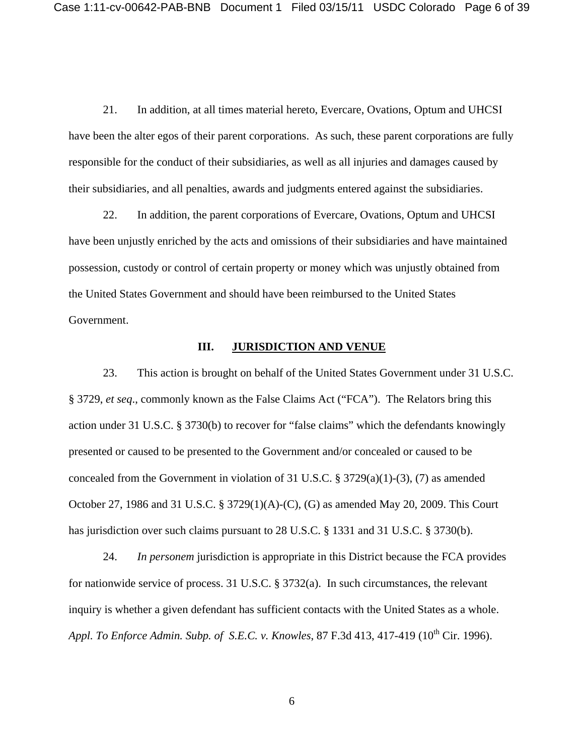21. In addition, at all times material hereto, Evercare, Ovations, Optum and UHCSI have been the alter egos of their parent corporations. As such, these parent corporations are fully responsible for the conduct of their subsidiaries, as well as all injuries and damages caused by their subsidiaries, and all penalties, awards and judgments entered against the subsidiaries.

22. In addition, the parent corporations of Evercare, Ovations, Optum and UHCSI have been unjustly enriched by the acts and omissions of their subsidiaries and have maintained possession, custody or control of certain property or money which was unjustly obtained from the United States Government and should have been reimbursed to the United States Government.

### **III. JURISDICTION AND VENUE**

23. This action is brought on behalf of the United States Government under 31 U.S.C. § 3729, *et seq*., commonly known as the False Claims Act ("FCA"). The Relators bring this action under 31 U.S.C. § 3730(b) to recover for "false claims" which the defendants knowingly presented or caused to be presented to the Government and/or concealed or caused to be concealed from the Government in violation of 31 U.S.C.  $\S$  3729(a)(1)-(3), (7) as amended October 27, 1986 and 31 U.S.C. § 3729(1)(A)-(C), (G) as amended May 20, 2009. This Court has jurisdiction over such claims pursuant to 28 U.S.C. § 1331 and 31 U.S.C. § 3730(b).

24. *In personem* jurisdiction is appropriate in this District because the FCA provides for nationwide service of process. 31 U.S.C. § 3732(a). In such circumstances, the relevant inquiry is whether a given defendant has sufficient contacts with the United States as a whole. *Appl. To Enforce Admin. Subp. of S.E.C. v. Knowles*, 87 F.3d 413, 417-419 (10<sup>th</sup> Cir. 1996).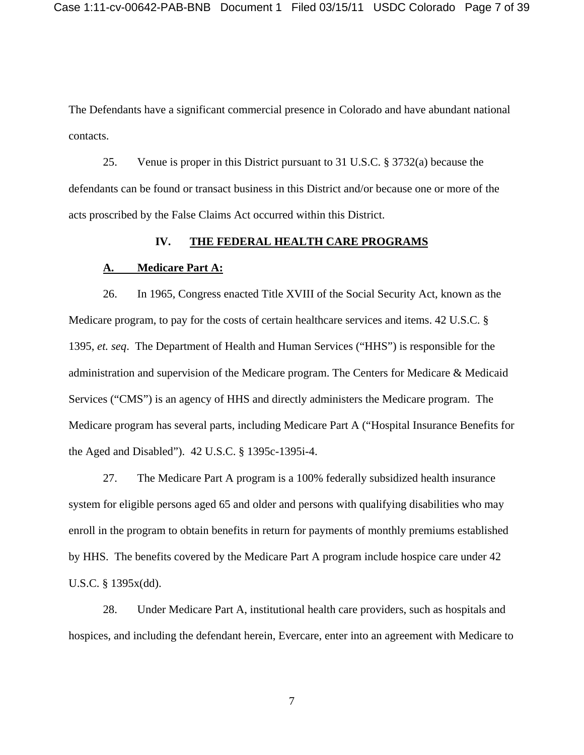The Defendants have a significant commercial presence in Colorado and have abundant national contacts.

25. Venue is proper in this District pursuant to 31 U.S.C. § 3732(a) because the defendants can be found or transact business in this District and/or because one or more of the acts proscribed by the False Claims Act occurred within this District.

#### **IV. THE FEDERAL HEALTH CARE PROGRAMS**

#### **A. Medicare Part A:**

26. In 1965, Congress enacted Title XVIII of the Social Security Act, known as the Medicare program, to pay for the costs of certain healthcare services and items. 42 U.S.C. § 1395, *et. seq*. The Department of Health and Human Services ("HHS") is responsible for the administration and supervision of the Medicare program. The Centers for Medicare & Medicaid Services ("CMS") is an agency of HHS and directly administers the Medicare program. The Medicare program has several parts, including Medicare Part A ("Hospital Insurance Benefits for the Aged and Disabled"). 42 U.S.C. § 1395c-1395i-4.

27. The Medicare Part A program is a 100% federally subsidized health insurance system for eligible persons aged 65 and older and persons with qualifying disabilities who may enroll in the program to obtain benefits in return for payments of monthly premiums established by HHS. The benefits covered by the Medicare Part A program include hospice care under 42 U.S.C. § 1395x(dd).

28. Under Medicare Part A, institutional health care providers, such as hospitals and hospices, and including the defendant herein, Evercare, enter into an agreement with Medicare to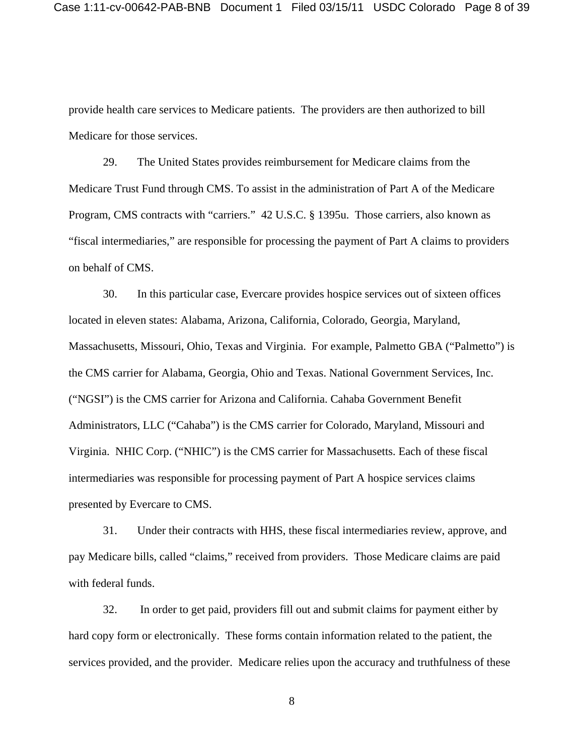provide health care services to Medicare patients. The providers are then authorized to bill Medicare for those services.

29. The United States provides reimbursement for Medicare claims from the Medicare Trust Fund through CMS. To assist in the administration of Part A of the Medicare Program, CMS contracts with "carriers." 42 U.S.C. § 1395u. Those carriers, also known as "fiscal intermediaries," are responsible for processing the payment of Part A claims to providers on behalf of CMS.

30. In this particular case, Evercare provides hospice services out of sixteen offices located in eleven states: Alabama, Arizona, California, Colorado, Georgia, Maryland, Massachusetts, Missouri, Ohio, Texas and Virginia. For example, Palmetto GBA ("Palmetto") is the CMS carrier for Alabama, Georgia, Ohio and Texas. National Government Services, Inc. ("NGSI") is the CMS carrier for Arizona and California. Cahaba Government Benefit Administrators, LLC ("Cahaba") is the CMS carrier for Colorado, Maryland, Missouri and Virginia. NHIC Corp. ("NHIC") is the CMS carrier for Massachusetts. Each of these fiscal intermediaries was responsible for processing payment of Part A hospice services claims presented by Evercare to CMS.

31. Under their contracts with HHS, these fiscal intermediaries review, approve, and pay Medicare bills, called "claims," received from providers. Those Medicare claims are paid with federal funds.

32. In order to get paid, providers fill out and submit claims for payment either by hard copy form or electronically. These forms contain information related to the patient, the services provided, and the provider. Medicare relies upon the accuracy and truthfulness of these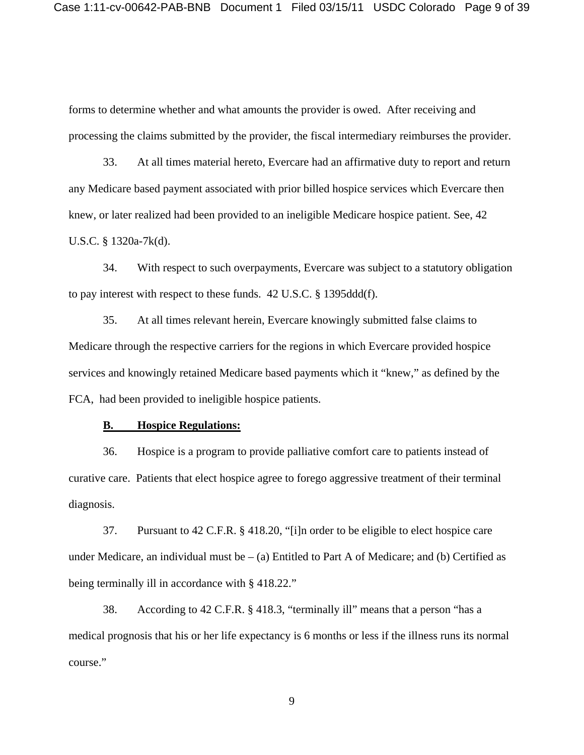forms to determine whether and what amounts the provider is owed. After receiving and processing the claims submitted by the provider, the fiscal intermediary reimburses the provider.

33. At all times material hereto, Evercare had an affirmative duty to report and return any Medicare based payment associated with prior billed hospice services which Evercare then knew, or later realized had been provided to an ineligible Medicare hospice patient. See, 42 U.S.C. § 1320a-7k(d).

34. With respect to such overpayments, Evercare was subject to a statutory obligation to pay interest with respect to these funds. 42 U.S.C. § 1395ddd(f).

35. At all times relevant herein, Evercare knowingly submitted false claims to Medicare through the respective carriers for the regions in which Evercare provided hospice services and knowingly retained Medicare based payments which it "knew," as defined by the FCA, had been provided to ineligible hospice patients.

#### **B. Hospice Regulations:**

36. Hospice is a program to provide palliative comfort care to patients instead of curative care. Patients that elect hospice agree to forego aggressive treatment of their terminal diagnosis.

37. Pursuant to 42 C.F.R. § 418.20, "[i]n order to be eligible to elect hospice care under Medicare, an individual must be  $-$  (a) Entitled to Part A of Medicare; and (b) Certified as being terminally ill in accordance with § 418.22."

38. According to 42 C.F.R. § 418.3, "terminally ill" means that a person "has a medical prognosis that his or her life expectancy is 6 months or less if the illness runs its normal course."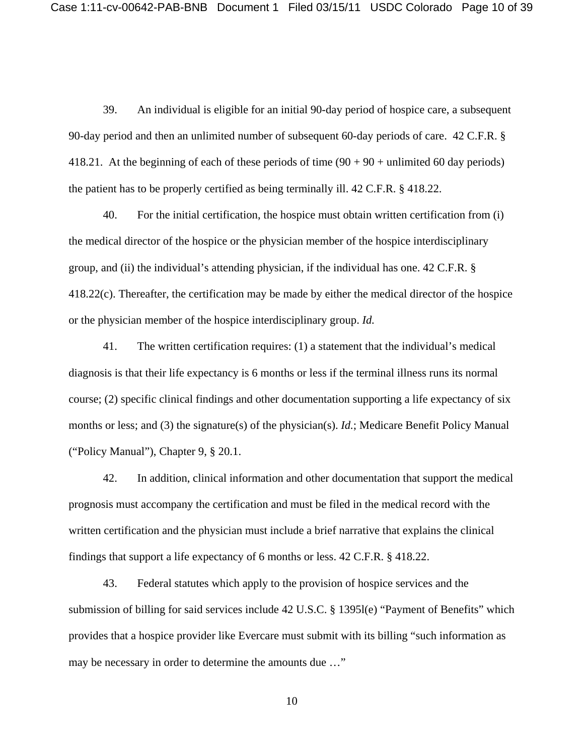39. An individual is eligible for an initial 90-day period of hospice care, a subsequent 90-day period and then an unlimited number of subsequent 60-day periods of care. 42 C.F.R. § 418.21. At the beginning of each of these periods of time  $(90 + 90 + \text{unlimited } 60 \text{ day periods})$ the patient has to be properly certified as being terminally ill. 42 C.F.R. § 418.22.

40. For the initial certification, the hospice must obtain written certification from (i) the medical director of the hospice or the physician member of the hospice interdisciplinary group, and (ii) the individual's attending physician, if the individual has one. 42 C.F.R. § 418.22(c). Thereafter, the certification may be made by either the medical director of the hospice or the physician member of the hospice interdisciplinary group. *Id.*

41. The written certification requires: (1) a statement that the individual's medical diagnosis is that their life expectancy is 6 months or less if the terminal illness runs its normal course; (2) specific clinical findings and other documentation supporting a life expectancy of six months or less; and (3) the signature(s) of the physician(s). *Id.*; Medicare Benefit Policy Manual ("Policy Manual"), Chapter 9, § 20.1.

42. In addition, clinical information and other documentation that support the medical prognosis must accompany the certification and must be filed in the medical record with the written certification and the physician must include a brief narrative that explains the clinical findings that support a life expectancy of 6 months or less. 42 C.F.R. § 418.22.

43. Federal statutes which apply to the provision of hospice services and the submission of billing for said services include 42 U.S.C. § 1395l(e) "Payment of Benefits" which provides that a hospice provider like Evercare must submit with its billing "such information as may be necessary in order to determine the amounts due …"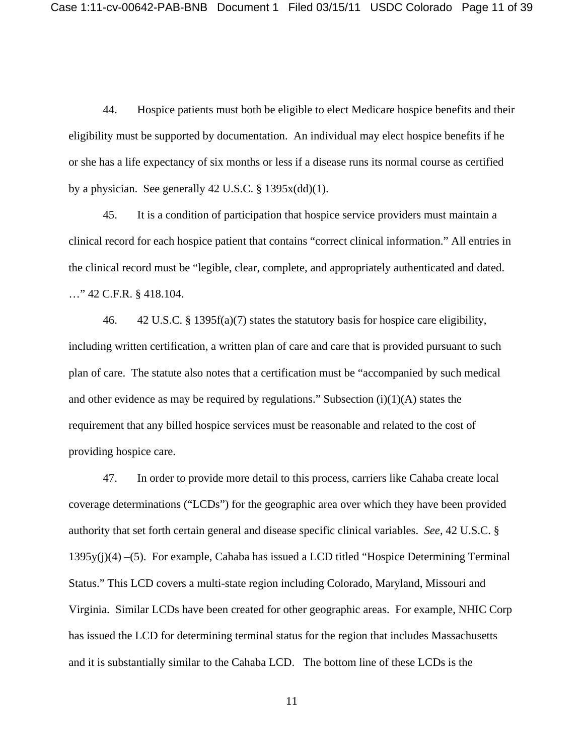44. Hospice patients must both be eligible to elect Medicare hospice benefits and their eligibility must be supported by documentation. An individual may elect hospice benefits if he or she has a life expectancy of six months or less if a disease runs its normal course as certified by a physician. See generally 42 U.S.C. § 1395x(dd)(1).

45. It is a condition of participation that hospice service providers must maintain a clinical record for each hospice patient that contains "correct clinical information." All entries in the clinical record must be "legible, clear, complete, and appropriately authenticated and dated. …" 42 C.F.R. § 418.104.

46. 42 U.S.C. § 1395f(a)(7) states the statutory basis for hospice care eligibility, including written certification, a written plan of care and care that is provided pursuant to such plan of care. The statute also notes that a certification must be "accompanied by such medical and other evidence as may be required by regulations." Subsection  $(i)(1)(A)$  states the requirement that any billed hospice services must be reasonable and related to the cost of providing hospice care.

47. In order to provide more detail to this process, carriers like Cahaba create local coverage determinations ("LCDs") for the geographic area over which they have been provided authority that set forth certain general and disease specific clinical variables. *See*, 42 U.S.C. § 1395y(j)(4) –(5). For example, Cahaba has issued a LCD titled "Hospice Determining Terminal Status." This LCD covers a multi-state region including Colorado, Maryland, Missouri and Virginia. Similar LCDs have been created for other geographic areas. For example, NHIC Corp has issued the LCD for determining terminal status for the region that includes Massachusetts and it is substantially similar to the Cahaba LCD. The bottom line of these LCDs is the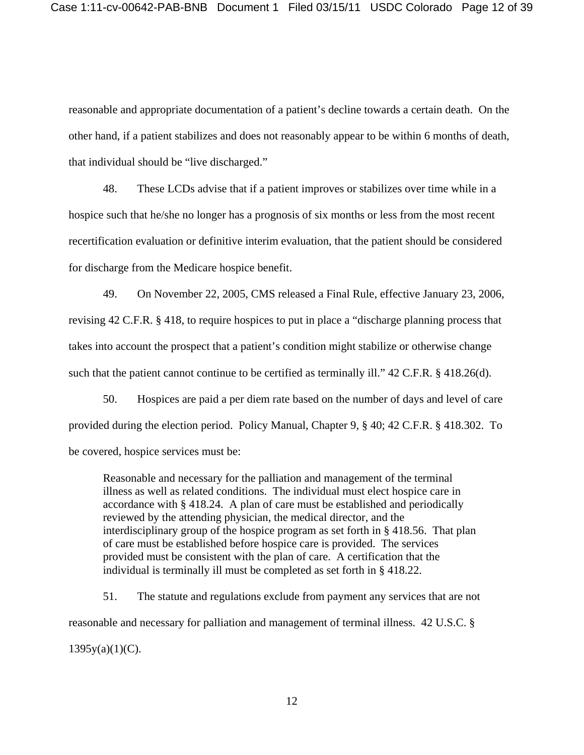reasonable and appropriate documentation of a patient's decline towards a certain death. On the other hand, if a patient stabilizes and does not reasonably appear to be within 6 months of death, that individual should be "live discharged."

48. These LCDs advise that if a patient improves or stabilizes over time while in a hospice such that he/she no longer has a prognosis of six months or less from the most recent recertification evaluation or definitive interim evaluation, that the patient should be considered for discharge from the Medicare hospice benefit.

49. On November 22, 2005, CMS released a Final Rule, effective January 23, 2006, revising 42 C.F.R. § 418, to require hospices to put in place a "discharge planning process that takes into account the prospect that a patient's condition might stabilize or otherwise change such that the patient cannot continue to be certified as terminally ill." 42 C.F.R. § 418.26(d).

50. Hospices are paid a per diem rate based on the number of days and level of care provided during the election period. Policy Manual, Chapter 9, § 40; 42 C.F.R. § 418.302. To be covered, hospice services must be:

Reasonable and necessary for the palliation and management of the terminal illness as well as related conditions. The individual must elect hospice care in accordance with § 418.24. A plan of care must be established and periodically reviewed by the attending physician, the medical director, and the interdisciplinary group of the hospice program as set forth in § 418.56. That plan of care must be established before hospice care is provided. The services provided must be consistent with the plan of care. A certification that the individual is terminally ill must be completed as set forth in § 418.22.

51. The statute and regulations exclude from payment any services that are not reasonable and necessary for palliation and management of terminal illness. 42 U.S.C. §  $1395y(a)(1)(C)$ .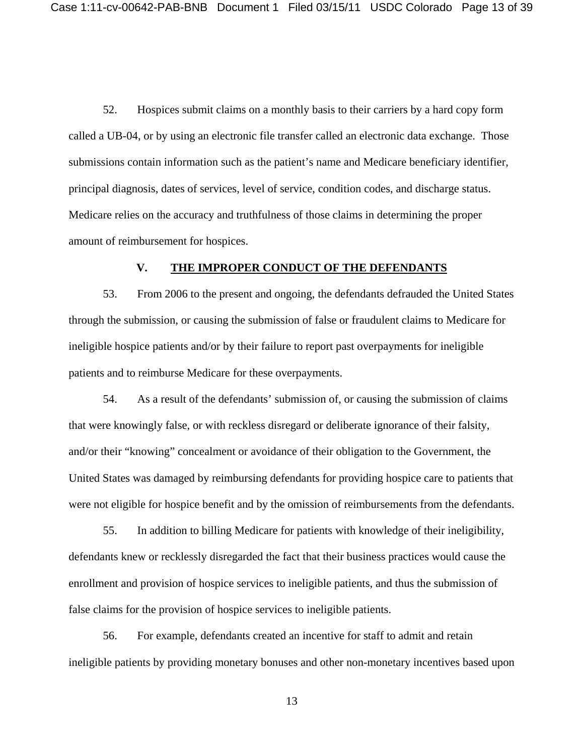52. Hospices submit claims on a monthly basis to their carriers by a hard copy form called a UB-04, or by using an electronic file transfer called an electronic data exchange. Those submissions contain information such as the patient's name and Medicare beneficiary identifier, principal diagnosis, dates of services, level of service, condition codes, and discharge status. Medicare relies on the accuracy and truthfulness of those claims in determining the proper amount of reimbursement for hospices.

#### **V. THE IMPROPER CONDUCT OF THE DEFENDANTS**

53. From 2006 to the present and ongoing, the defendants defrauded the United States through the submission, or causing the submission of false or fraudulent claims to Medicare for ineligible hospice patients and/or by their failure to report past overpayments for ineligible patients and to reimburse Medicare for these overpayments.

54. As a result of the defendants' submission of, or causing the submission of claims that were knowingly false, or with reckless disregard or deliberate ignorance of their falsity, and/or their "knowing" concealment or avoidance of their obligation to the Government, the United States was damaged by reimbursing defendants for providing hospice care to patients that were not eligible for hospice benefit and by the omission of reimbursements from the defendants.

55. In addition to billing Medicare for patients with knowledge of their ineligibility, defendants knew or recklessly disregarded the fact that their business practices would cause the enrollment and provision of hospice services to ineligible patients, and thus the submission of false claims for the provision of hospice services to ineligible patients.

56. For example, defendants created an incentive for staff to admit and retain ineligible patients by providing monetary bonuses and other non-monetary incentives based upon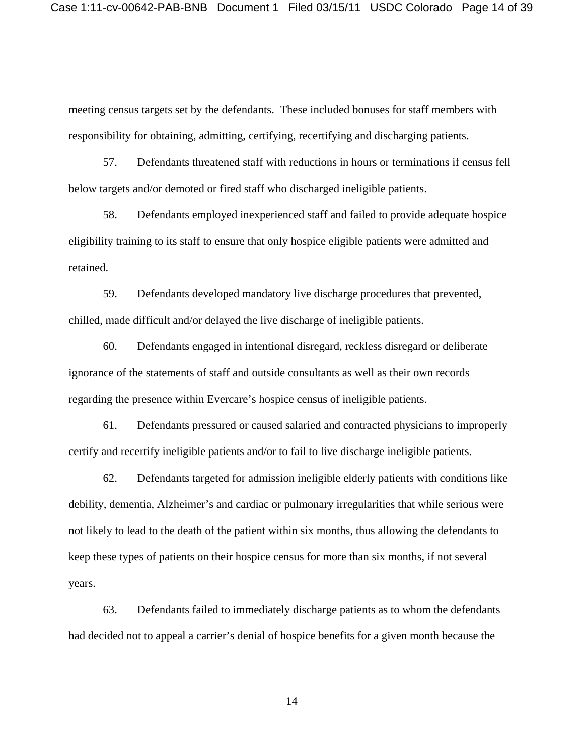meeting census targets set by the defendants. These included bonuses for staff members with responsibility for obtaining, admitting, certifying, recertifying and discharging patients.

57. Defendants threatened staff with reductions in hours or terminations if census fell below targets and/or demoted or fired staff who discharged ineligible patients.

58. Defendants employed inexperienced staff and failed to provide adequate hospice eligibility training to its staff to ensure that only hospice eligible patients were admitted and retained.

59. Defendants developed mandatory live discharge procedures that prevented, chilled, made difficult and/or delayed the live discharge of ineligible patients.

60. Defendants engaged in intentional disregard, reckless disregard or deliberate ignorance of the statements of staff and outside consultants as well as their own records regarding the presence within Evercare's hospice census of ineligible patients.

61. Defendants pressured or caused salaried and contracted physicians to improperly certify and recertify ineligible patients and/or to fail to live discharge ineligible patients.

62. Defendants targeted for admission ineligible elderly patients with conditions like debility, dementia, Alzheimer's and cardiac or pulmonary irregularities that while serious were not likely to lead to the death of the patient within six months, thus allowing the defendants to keep these types of patients on their hospice census for more than six months, if not several years.

63. Defendants failed to immediately discharge patients as to whom the defendants had decided not to appeal a carrier's denial of hospice benefits for a given month because the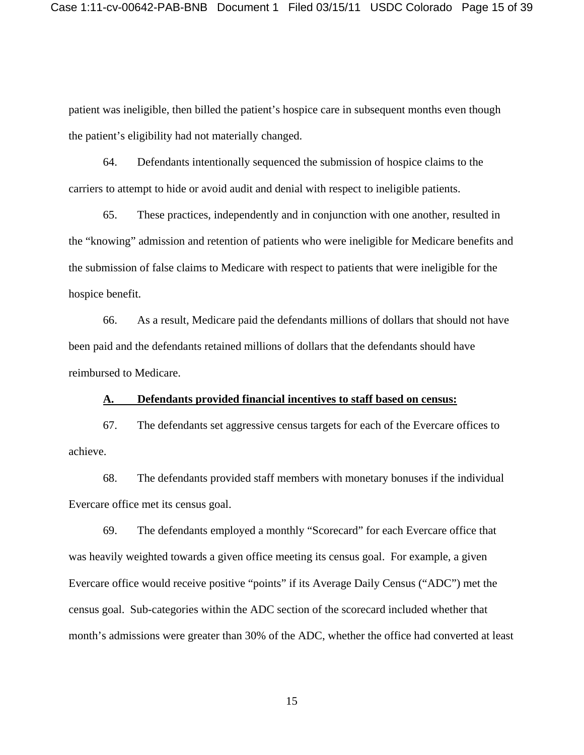patient was ineligible, then billed the patient's hospice care in subsequent months even though the patient's eligibility had not materially changed.

64. Defendants intentionally sequenced the submission of hospice claims to the carriers to attempt to hide or avoid audit and denial with respect to ineligible patients.

65. These practices, independently and in conjunction with one another, resulted in the "knowing" admission and retention of patients who were ineligible for Medicare benefits and the submission of false claims to Medicare with respect to patients that were ineligible for the hospice benefit.

66. As a result, Medicare paid the defendants millions of dollars that should not have been paid and the defendants retained millions of dollars that the defendants should have reimbursed to Medicare.

## **A. Defendants provided financial incentives to staff based on census:**

67. The defendants set aggressive census targets for each of the Evercare offices to achieve.

68. The defendants provided staff members with monetary bonuses if the individual Evercare office met its census goal.

69. The defendants employed a monthly "Scorecard" for each Evercare office that was heavily weighted towards a given office meeting its census goal. For example, a given Evercare office would receive positive "points" if its Average Daily Census ("ADC") met the census goal. Sub-categories within the ADC section of the scorecard included whether that month's admissions were greater than 30% of the ADC, whether the office had converted at least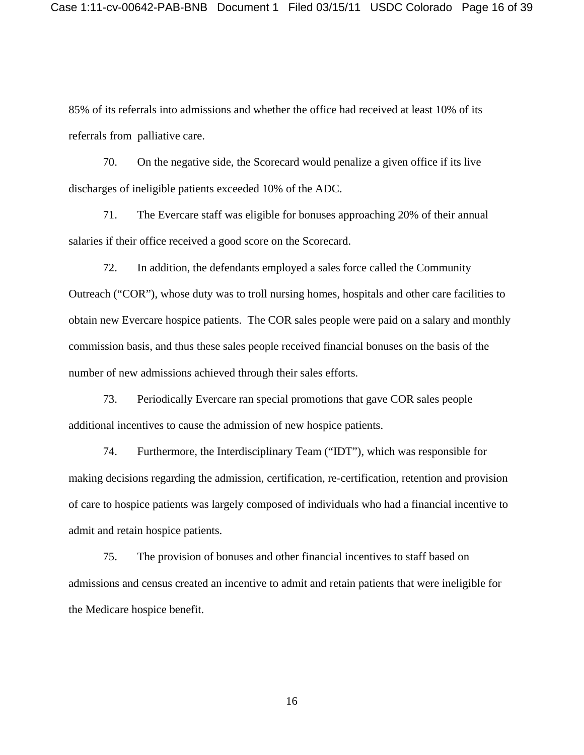85% of its referrals into admissions and whether the office had received at least 10% of its referrals from palliative care.

70. On the negative side, the Scorecard would penalize a given office if its live discharges of ineligible patients exceeded 10% of the ADC.

71. The Evercare staff was eligible for bonuses approaching 20% of their annual salaries if their office received a good score on the Scorecard.

72. In addition, the defendants employed a sales force called the Community Outreach ("COR"), whose duty was to troll nursing homes, hospitals and other care facilities to obtain new Evercare hospice patients. The COR sales people were paid on a salary and monthly commission basis, and thus these sales people received financial bonuses on the basis of the number of new admissions achieved through their sales efforts.

73. Periodically Evercare ran special promotions that gave COR sales people additional incentives to cause the admission of new hospice patients.

74. Furthermore, the Interdisciplinary Team ("IDT"), which was responsible for making decisions regarding the admission, certification, re-certification, retention and provision of care to hospice patients was largely composed of individuals who had a financial incentive to admit and retain hospice patients.

75. The provision of bonuses and other financial incentives to staff based on admissions and census created an incentive to admit and retain patients that were ineligible for the Medicare hospice benefit.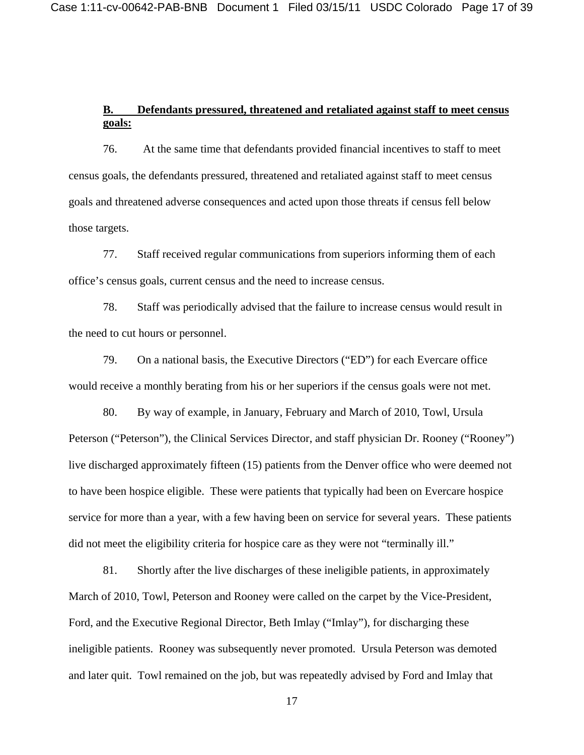# **B. Defendants pressured, threatened and retaliated against staff to meet census goals:**

76. At the same time that defendants provided financial incentives to staff to meet census goals, the defendants pressured, threatened and retaliated against staff to meet census goals and threatened adverse consequences and acted upon those threats if census fell below those targets.

77. Staff received regular communications from superiors informing them of each office's census goals, current census and the need to increase census.

78. Staff was periodically advised that the failure to increase census would result in the need to cut hours or personnel.

79. On a national basis, the Executive Directors ("ED") for each Evercare office would receive a monthly berating from his or her superiors if the census goals were not met.

80. By way of example, in January, February and March of 2010, Towl, Ursula Peterson ("Peterson"), the Clinical Services Director, and staff physician Dr. Rooney ("Rooney") live discharged approximately fifteen (15) patients from the Denver office who were deemed not to have been hospice eligible. These were patients that typically had been on Evercare hospice service for more than a year, with a few having been on service for several years. These patients did not meet the eligibility criteria for hospice care as they were not "terminally ill."

81. Shortly after the live discharges of these ineligible patients, in approximately March of 2010, Towl, Peterson and Rooney were called on the carpet by the Vice-President, Ford, and the Executive Regional Director, Beth Imlay ("Imlay"), for discharging these ineligible patients. Rooney was subsequently never promoted. Ursula Peterson was demoted and later quit. Towl remained on the job, but was repeatedly advised by Ford and Imlay that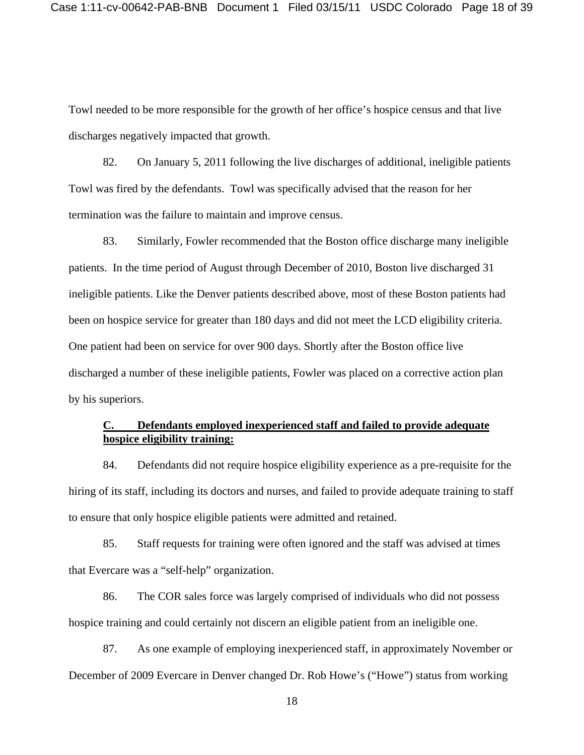Towl needed to be more responsible for the growth of her office's hospice census and that live discharges negatively impacted that growth.

82. On January 5, 2011 following the live discharges of additional, ineligible patients Towl was fired by the defendants. Towl was specifically advised that the reason for her termination was the failure to maintain and improve census.

83. Similarly, Fowler recommended that the Boston office discharge many ineligible patients. In the time period of August through December of 2010, Boston live discharged 31 ineligible patients. Like the Denver patients described above, most of these Boston patients had been on hospice service for greater than 180 days and did not meet the LCD eligibility criteria. One patient had been on service for over 900 days. Shortly after the Boston office live discharged a number of these ineligible patients, Fowler was placed on a corrective action plan by his superiors.

# **C. Defendants employed inexperienced staff and failed to provide adequate hospice eligibility training:**

84. Defendants did not require hospice eligibility experience as a pre-requisite for the hiring of its staff, including its doctors and nurses, and failed to provide adequate training to staff to ensure that only hospice eligible patients were admitted and retained.

85. Staff requests for training were often ignored and the staff was advised at times that Evercare was a "self-help" organization.

86. The COR sales force was largely comprised of individuals who did not possess hospice training and could certainly not discern an eligible patient from an ineligible one.

87. As one example of employing inexperienced staff, in approximately November or December of 2009 Evercare in Denver changed Dr. Rob Howe's ("Howe") status from working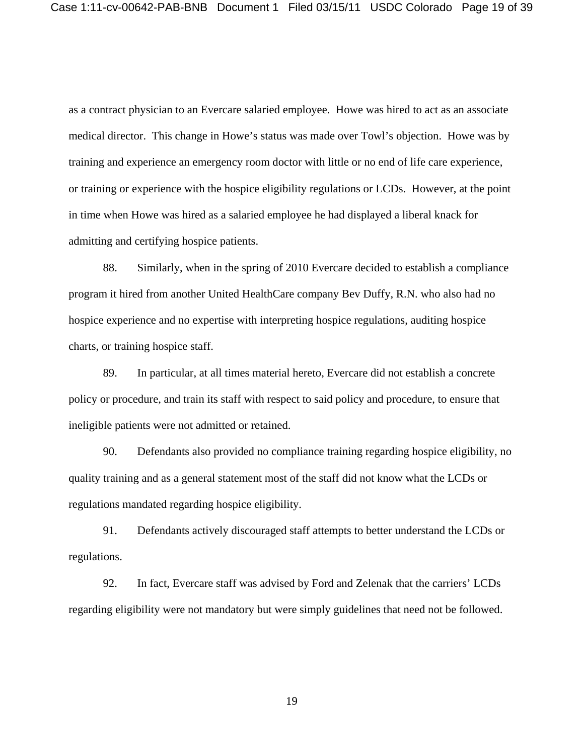as a contract physician to an Evercare salaried employee. Howe was hired to act as an associate medical director. This change in Howe's status was made over Towl's objection. Howe was by training and experience an emergency room doctor with little or no end of life care experience, or training or experience with the hospice eligibility regulations or LCDs. However, at the point in time when Howe was hired as a salaried employee he had displayed a liberal knack for admitting and certifying hospice patients.

88. Similarly, when in the spring of 2010 Evercare decided to establish a compliance program it hired from another United HealthCare company Bev Duffy, R.N. who also had no hospice experience and no expertise with interpreting hospice regulations, auditing hospice charts, or training hospice staff.

89. In particular, at all times material hereto, Evercare did not establish a concrete policy or procedure, and train its staff with respect to said policy and procedure, to ensure that ineligible patients were not admitted or retained.

90. Defendants also provided no compliance training regarding hospice eligibility, no quality training and as a general statement most of the staff did not know what the LCDs or regulations mandated regarding hospice eligibility.

91. Defendants actively discouraged staff attempts to better understand the LCDs or regulations.

92. In fact, Evercare staff was advised by Ford and Zelenak that the carriers' LCDs regarding eligibility were not mandatory but were simply guidelines that need not be followed.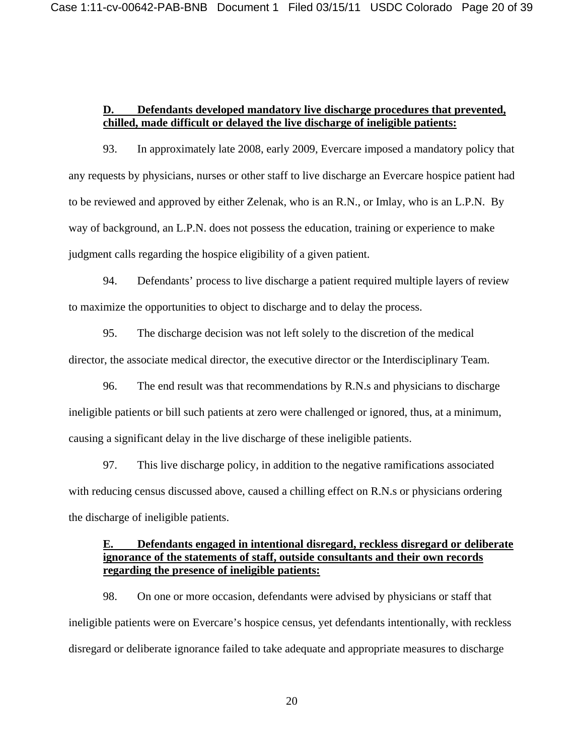### **D. Defendants developed mandatory live discharge procedures that prevented, chilled, made difficult or delayed the live discharge of ineligible patients:**

93. In approximately late 2008, early 2009, Evercare imposed a mandatory policy that any requests by physicians, nurses or other staff to live discharge an Evercare hospice patient had to be reviewed and approved by either Zelenak, who is an R.N., or Imlay, who is an L.P.N. By way of background, an L.P.N. does not possess the education, training or experience to make judgment calls regarding the hospice eligibility of a given patient.

94. Defendants' process to live discharge a patient required multiple layers of review to maximize the opportunities to object to discharge and to delay the process.

95. The discharge decision was not left solely to the discretion of the medical director, the associate medical director, the executive director or the Interdisciplinary Team.

96. The end result was that recommendations by R.N.s and physicians to discharge ineligible patients or bill such patients at zero were challenged or ignored, thus, at a minimum, causing a significant delay in the live discharge of these ineligible patients.

97. This live discharge policy, in addition to the negative ramifications associated with reducing census discussed above, caused a chilling effect on R.N.s or physicians ordering the discharge of ineligible patients.

# **E. Defendants engaged in intentional disregard, reckless disregard or deliberate ignorance of the statements of staff, outside consultants and their own records regarding the presence of ineligible patients:**

98. On one or more occasion, defendants were advised by physicians or staff that ineligible patients were on Evercare's hospice census, yet defendants intentionally, with reckless disregard or deliberate ignorance failed to take adequate and appropriate measures to discharge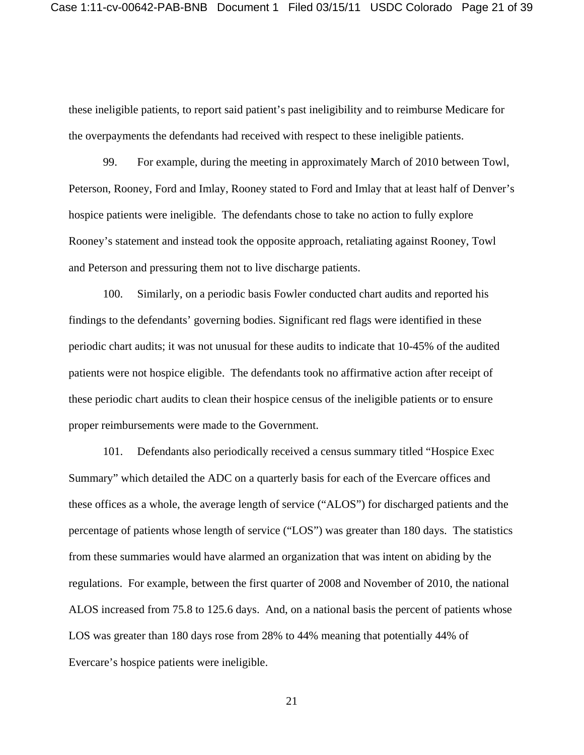these ineligible patients, to report said patient's past ineligibility and to reimburse Medicare for the overpayments the defendants had received with respect to these ineligible patients.

99. For example, during the meeting in approximately March of 2010 between Towl, Peterson, Rooney, Ford and Imlay, Rooney stated to Ford and Imlay that at least half of Denver's hospice patients were ineligible. The defendants chose to take no action to fully explore Rooney's statement and instead took the opposite approach, retaliating against Rooney, Towl and Peterson and pressuring them not to live discharge patients.

100. Similarly, on a periodic basis Fowler conducted chart audits and reported his findings to the defendants' governing bodies. Significant red flags were identified in these periodic chart audits; it was not unusual for these audits to indicate that 10-45% of the audited patients were not hospice eligible. The defendants took no affirmative action after receipt of these periodic chart audits to clean their hospice census of the ineligible patients or to ensure proper reimbursements were made to the Government.

101. Defendants also periodically received a census summary titled "Hospice Exec Summary" which detailed the ADC on a quarterly basis for each of the Evercare offices and these offices as a whole, the average length of service ("ALOS") for discharged patients and the percentage of patients whose length of service ("LOS") was greater than 180 days. The statistics from these summaries would have alarmed an organization that was intent on abiding by the regulations. For example, between the first quarter of 2008 and November of 2010, the national ALOS increased from 75.8 to 125.6 days. And, on a national basis the percent of patients whose LOS was greater than 180 days rose from 28% to 44% meaning that potentially 44% of Evercare's hospice patients were ineligible.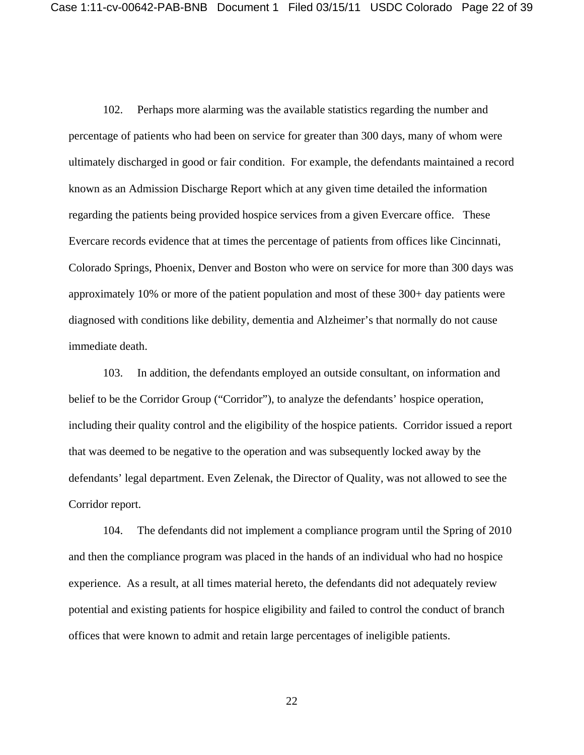102. Perhaps more alarming was the available statistics regarding the number and percentage of patients who had been on service for greater than 300 days, many of whom were ultimately discharged in good or fair condition. For example, the defendants maintained a record known as an Admission Discharge Report which at any given time detailed the information regarding the patients being provided hospice services from a given Evercare office. These Evercare records evidence that at times the percentage of patients from offices like Cincinnati, Colorado Springs, Phoenix, Denver and Boston who were on service for more than 300 days was approximately 10% or more of the patient population and most of these 300+ day patients were diagnosed with conditions like debility, dementia and Alzheimer's that normally do not cause immediate death.

103. In addition, the defendants employed an outside consultant, on information and belief to be the Corridor Group ("Corridor"), to analyze the defendants' hospice operation, including their quality control and the eligibility of the hospice patients. Corridor issued a report that was deemed to be negative to the operation and was subsequently locked away by the defendants' legal department. Even Zelenak, the Director of Quality, was not allowed to see the Corridor report.

104. The defendants did not implement a compliance program until the Spring of 2010 and then the compliance program was placed in the hands of an individual who had no hospice experience. As a result, at all times material hereto, the defendants did not adequately review potential and existing patients for hospice eligibility and failed to control the conduct of branch offices that were known to admit and retain large percentages of ineligible patients.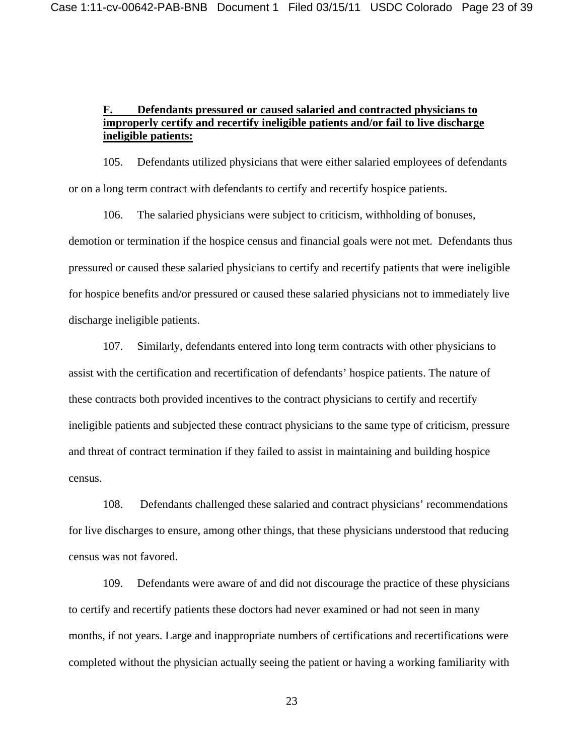# **F. Defendants pressured or caused salaried and contracted physicians to improperly certify and recertify ineligible patients and/or fail to live discharge ineligible patients:**

105. Defendants utilized physicians that were either salaried employees of defendants or on a long term contract with defendants to certify and recertify hospice patients.

106. The salaried physicians were subject to criticism, withholding of bonuses, demotion or termination if the hospice census and financial goals were not met. Defendants thus pressured or caused these salaried physicians to certify and recertify patients that were ineligible for hospice benefits and/or pressured or caused these salaried physicians not to immediately live discharge ineligible patients.

107. Similarly, defendants entered into long term contracts with other physicians to assist with the certification and recertification of defendants' hospice patients. The nature of these contracts both provided incentives to the contract physicians to certify and recertify ineligible patients and subjected these contract physicians to the same type of criticism, pressure and threat of contract termination if they failed to assist in maintaining and building hospice census.

108. Defendants challenged these salaried and contract physicians' recommendations for live discharges to ensure, among other things, that these physicians understood that reducing census was not favored.

109. Defendants were aware of and did not discourage the practice of these physicians to certify and recertify patients these doctors had never examined or had not seen in many months, if not years. Large and inappropriate numbers of certifications and recertifications were completed without the physician actually seeing the patient or having a working familiarity with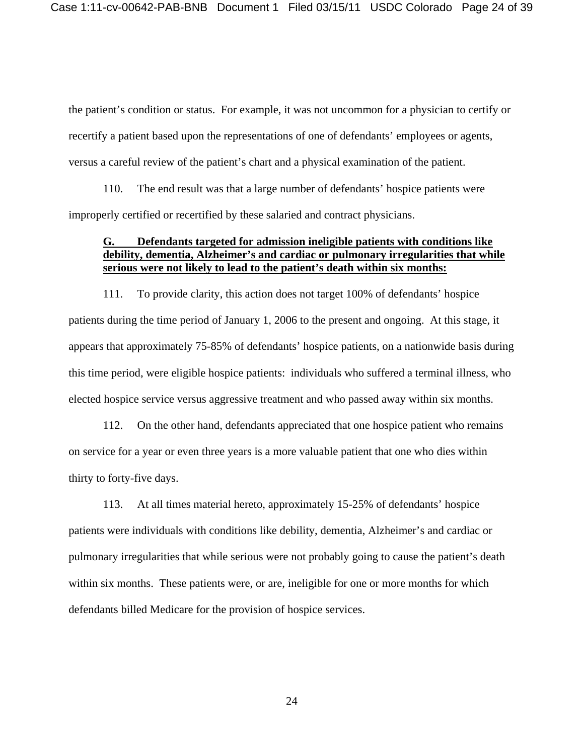the patient's condition or status. For example, it was not uncommon for a physician to certify or recertify a patient based upon the representations of one of defendants' employees or agents, versus a careful review of the patient's chart and a physical examination of the patient.

110. The end result was that a large number of defendants' hospice patients were improperly certified or recertified by these salaried and contract physicians.

## **G. Defendants targeted for admission ineligible patients with conditions like debility, dementia, Alzheimer's and cardiac or pulmonary irregularities that while serious were not likely to lead to the patient's death within six months:**

111. To provide clarity, this action does not target 100% of defendants' hospice patients during the time period of January 1, 2006 to the present and ongoing. At this stage, it appears that approximately 75-85% of defendants' hospice patients, on a nationwide basis during this time period, were eligible hospice patients: individuals who suffered a terminal illness, who elected hospice service versus aggressive treatment and who passed away within six months.

112. On the other hand, defendants appreciated that one hospice patient who remains on service for a year or even three years is a more valuable patient that one who dies within thirty to forty-five days.

113. At all times material hereto, approximately 15-25% of defendants' hospice patients were individuals with conditions like debility, dementia, Alzheimer's and cardiac or pulmonary irregularities that while serious were not probably going to cause the patient's death within six months. These patients were, or are, ineligible for one or more months for which defendants billed Medicare for the provision of hospice services.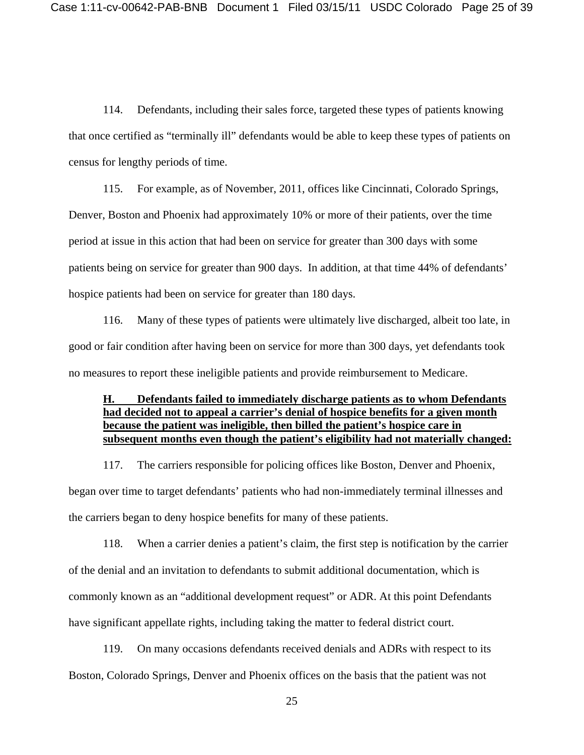114. Defendants, including their sales force, targeted these types of patients knowing that once certified as "terminally ill" defendants would be able to keep these types of patients on census for lengthy periods of time.

115. For example, as of November, 2011, offices like Cincinnati, Colorado Springs, Denver, Boston and Phoenix had approximately 10% or more of their patients, over the time period at issue in this action that had been on service for greater than 300 days with some patients being on service for greater than 900 days. In addition, at that time 44% of defendants' hospice patients had been on service for greater than 180 days.

116. Many of these types of patients were ultimately live discharged, albeit too late, in good or fair condition after having been on service for more than 300 days, yet defendants took no measures to report these ineligible patients and provide reimbursement to Medicare.

# **H. Defendants failed to immediately discharge patients as to whom Defendants had decided not to appeal a carrier's denial of hospice benefits for a given month because the patient was ineligible, then billed the patient's hospice care in subsequent months even though the patient's eligibility had not materially changed:**

117. The carriers responsible for policing offices like Boston, Denver and Phoenix, began over time to target defendants' patients who had non-immediately terminal illnesses and the carriers began to deny hospice benefits for many of these patients.

118. When a carrier denies a patient's claim, the first step is notification by the carrier of the denial and an invitation to defendants to submit additional documentation, which is commonly known as an "additional development request" or ADR. At this point Defendants have significant appellate rights, including taking the matter to federal district court.

119. On many occasions defendants received denials and ADRs with respect to its Boston, Colorado Springs, Denver and Phoenix offices on the basis that the patient was not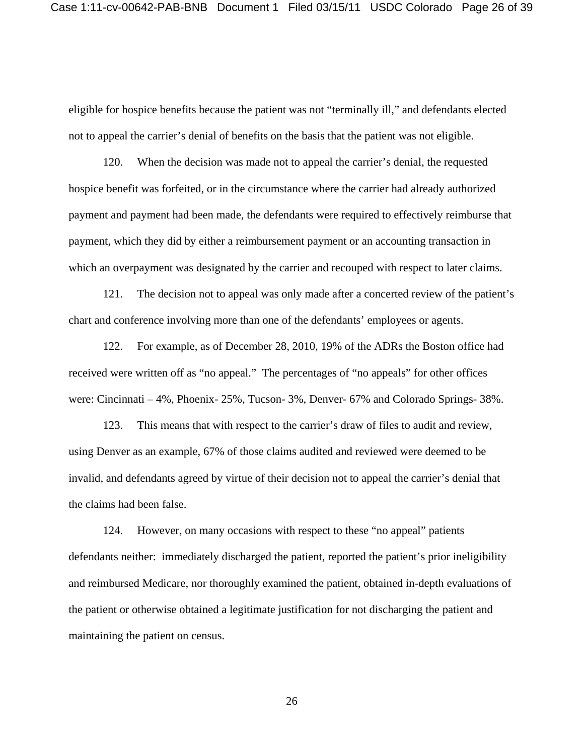eligible for hospice benefits because the patient was not "terminally ill," and defendants elected not to appeal the carrier's denial of benefits on the basis that the patient was not eligible.

120. When the decision was made not to appeal the carrier's denial, the requested hospice benefit was forfeited, or in the circumstance where the carrier had already authorized payment and payment had been made, the defendants were required to effectively reimburse that payment, which they did by either a reimbursement payment or an accounting transaction in which an overpayment was designated by the carrier and recouped with respect to later claims.

121. The decision not to appeal was only made after a concerted review of the patient's chart and conference involving more than one of the defendants' employees or agents.

122. For example, as of December 28, 2010, 19% of the ADRs the Boston office had received were written off as "no appeal." The percentages of "no appeals" for other offices were: Cincinnati – 4%, Phoenix- 25%, Tucson- 3%, Denver- 67% and Colorado Springs- 38%.

123. This means that with respect to the carrier's draw of files to audit and review, using Denver as an example, 67% of those claims audited and reviewed were deemed to be invalid, and defendants agreed by virtue of their decision not to appeal the carrier's denial that the claims had been false.

124. However, on many occasions with respect to these "no appeal" patients defendants neither: immediately discharged the patient, reported the patient's prior ineligibility and reimbursed Medicare, nor thoroughly examined the patient, obtained in-depth evaluations of the patient or otherwise obtained a legitimate justification for not discharging the patient and maintaining the patient on census.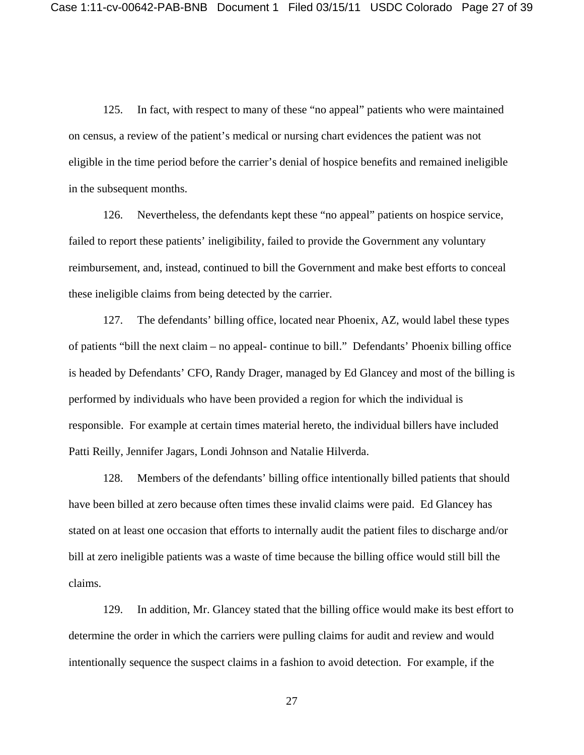125. In fact, with respect to many of these "no appeal" patients who were maintained on census, a review of the patient's medical or nursing chart evidences the patient was not eligible in the time period before the carrier's denial of hospice benefits and remained ineligible in the subsequent months.

126. Nevertheless, the defendants kept these "no appeal" patients on hospice service, failed to report these patients' ineligibility, failed to provide the Government any voluntary reimbursement, and, instead, continued to bill the Government and make best efforts to conceal these ineligible claims from being detected by the carrier.

127. The defendants' billing office, located near Phoenix, AZ, would label these types of patients "bill the next claim – no appeal- continue to bill." Defendants' Phoenix billing office is headed by Defendants' CFO, Randy Drager, managed by Ed Glancey and most of the billing is performed by individuals who have been provided a region for which the individual is responsible. For example at certain times material hereto, the individual billers have included Patti Reilly, Jennifer Jagars, Londi Johnson and Natalie Hilverda.

128. Members of the defendants' billing office intentionally billed patients that should have been billed at zero because often times these invalid claims were paid. Ed Glancey has stated on at least one occasion that efforts to internally audit the patient files to discharge and/or bill at zero ineligible patients was a waste of time because the billing office would still bill the claims.

129. In addition, Mr. Glancey stated that the billing office would make its best effort to determine the order in which the carriers were pulling claims for audit and review and would intentionally sequence the suspect claims in a fashion to avoid detection. For example, if the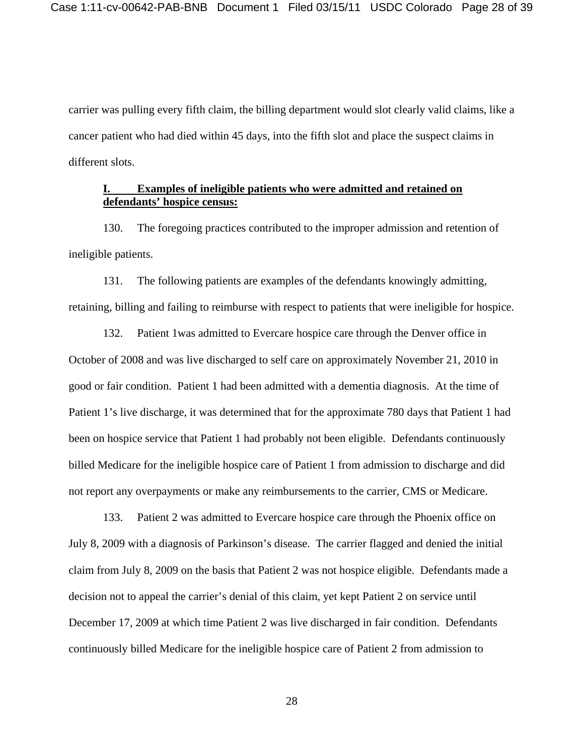carrier was pulling every fifth claim, the billing department would slot clearly valid claims, like a cancer patient who had died within 45 days, into the fifth slot and place the suspect claims in different slots.

# **I. Examples of ineligible patients who were admitted and retained on defendants' hospice census:**

130. The foregoing practices contributed to the improper admission and retention of ineligible patients.

131. The following patients are examples of the defendants knowingly admitting, retaining, billing and failing to reimburse with respect to patients that were ineligible for hospice.

132. Patient 1was admitted to Evercare hospice care through the Denver office in October of 2008 and was live discharged to self care on approximately November 21, 2010 in good or fair condition. Patient 1 had been admitted with a dementia diagnosis. At the time of Patient 1's live discharge, it was determined that for the approximate 780 days that Patient 1 had been on hospice service that Patient 1 had probably not been eligible. Defendants continuously billed Medicare for the ineligible hospice care of Patient 1 from admission to discharge and did not report any overpayments or make any reimbursements to the carrier, CMS or Medicare.

133. Patient 2 was admitted to Evercare hospice care through the Phoenix office on July 8, 2009 with a diagnosis of Parkinson's disease. The carrier flagged and denied the initial claim from July 8, 2009 on the basis that Patient 2 was not hospice eligible. Defendants made a decision not to appeal the carrier's denial of this claim, yet kept Patient 2 on service until December 17, 2009 at which time Patient 2 was live discharged in fair condition. Defendants continuously billed Medicare for the ineligible hospice care of Patient 2 from admission to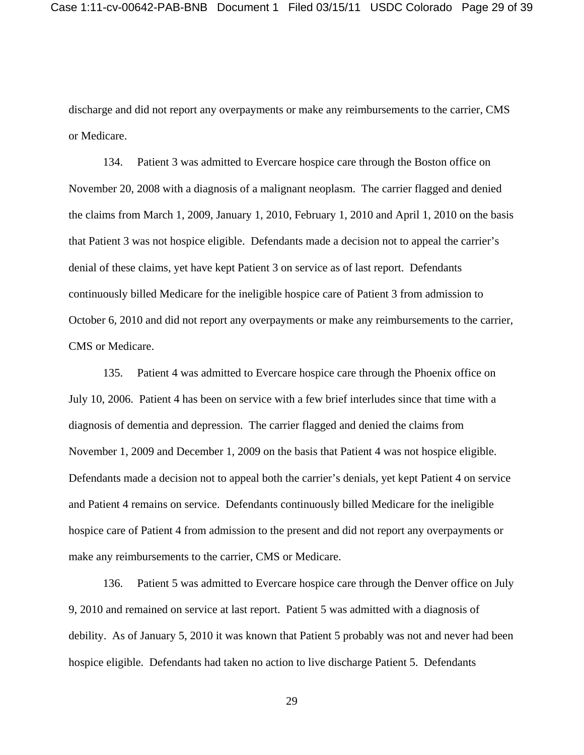discharge and did not report any overpayments or make any reimbursements to the carrier, CMS or Medicare.

134. Patient 3 was admitted to Evercare hospice care through the Boston office on November 20, 2008 with a diagnosis of a malignant neoplasm. The carrier flagged and denied the claims from March 1, 2009, January 1, 2010, February 1, 2010 and April 1, 2010 on the basis that Patient 3 was not hospice eligible. Defendants made a decision not to appeal the carrier's denial of these claims, yet have kept Patient 3 on service as of last report. Defendants continuously billed Medicare for the ineligible hospice care of Patient 3 from admission to October 6, 2010 and did not report any overpayments or make any reimbursements to the carrier, CMS or Medicare.

135. Patient 4 was admitted to Evercare hospice care through the Phoenix office on July 10, 2006. Patient 4 has been on service with a few brief interludes since that time with a diagnosis of dementia and depression. The carrier flagged and denied the claims from November 1, 2009 and December 1, 2009 on the basis that Patient 4 was not hospice eligible. Defendants made a decision not to appeal both the carrier's denials, yet kept Patient 4 on service and Patient 4 remains on service. Defendants continuously billed Medicare for the ineligible hospice care of Patient 4 from admission to the present and did not report any overpayments or make any reimbursements to the carrier, CMS or Medicare.

136. Patient 5 was admitted to Evercare hospice care through the Denver office on July 9, 2010 and remained on service at last report. Patient 5 was admitted with a diagnosis of debility. As of January 5, 2010 it was known that Patient 5 probably was not and never had been hospice eligible. Defendants had taken no action to live discharge Patient 5. Defendants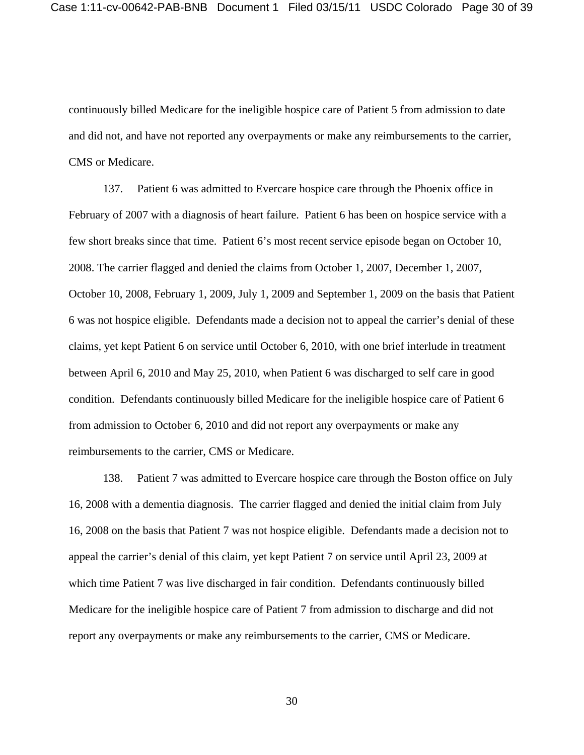continuously billed Medicare for the ineligible hospice care of Patient 5 from admission to date and did not, and have not reported any overpayments or make any reimbursements to the carrier, CMS or Medicare.

137. Patient 6 was admitted to Evercare hospice care through the Phoenix office in February of 2007 with a diagnosis of heart failure. Patient 6 has been on hospice service with a few short breaks since that time. Patient 6's most recent service episode began on October 10, 2008. The carrier flagged and denied the claims from October 1, 2007, December 1, 2007, October 10, 2008, February 1, 2009, July 1, 2009 and September 1, 2009 on the basis that Patient 6 was not hospice eligible. Defendants made a decision not to appeal the carrier's denial of these claims, yet kept Patient 6 on service until October 6, 2010, with one brief interlude in treatment between April 6, 2010 and May 25, 2010, when Patient 6 was discharged to self care in good condition. Defendants continuously billed Medicare for the ineligible hospice care of Patient 6 from admission to October 6, 2010 and did not report any overpayments or make any reimbursements to the carrier, CMS or Medicare.

138. Patient 7 was admitted to Evercare hospice care through the Boston office on July 16, 2008 with a dementia diagnosis. The carrier flagged and denied the initial claim from July 16, 2008 on the basis that Patient 7 was not hospice eligible. Defendants made a decision not to appeal the carrier's denial of this claim, yet kept Patient 7 on service until April 23, 2009 at which time Patient 7 was live discharged in fair condition. Defendants continuously billed Medicare for the ineligible hospice care of Patient 7 from admission to discharge and did not report any overpayments or make any reimbursements to the carrier, CMS or Medicare.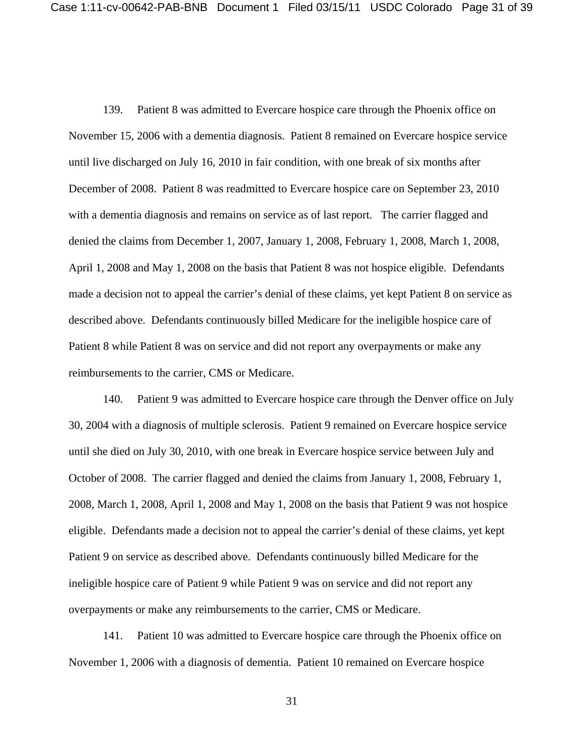139. Patient 8 was admitted to Evercare hospice care through the Phoenix office on November 15, 2006 with a dementia diagnosis. Patient 8 remained on Evercare hospice service until live discharged on July 16, 2010 in fair condition, with one break of six months after December of 2008. Patient 8 was readmitted to Evercare hospice care on September 23, 2010 with a dementia diagnosis and remains on service as of last report. The carrier flagged and denied the claims from December 1, 2007, January 1, 2008, February 1, 2008, March 1, 2008, April 1, 2008 and May 1, 2008 on the basis that Patient 8 was not hospice eligible. Defendants made a decision not to appeal the carrier's denial of these claims, yet kept Patient 8 on service as described above. Defendants continuously billed Medicare for the ineligible hospice care of Patient 8 while Patient 8 was on service and did not report any overpayments or make any reimbursements to the carrier, CMS or Medicare.

140. Patient 9 was admitted to Evercare hospice care through the Denver office on July 30, 2004 with a diagnosis of multiple sclerosis. Patient 9 remained on Evercare hospice service until she died on July 30, 2010, with one break in Evercare hospice service between July and October of 2008. The carrier flagged and denied the claims from January 1, 2008, February 1, 2008, March 1, 2008, April 1, 2008 and May 1, 2008 on the basis that Patient 9 was not hospice eligible. Defendants made a decision not to appeal the carrier's denial of these claims, yet kept Patient 9 on service as described above. Defendants continuously billed Medicare for the ineligible hospice care of Patient 9 while Patient 9 was on service and did not report any overpayments or make any reimbursements to the carrier, CMS or Medicare.

141. Patient 10 was admitted to Evercare hospice care through the Phoenix office on November 1, 2006 with a diagnosis of dementia. Patient 10 remained on Evercare hospice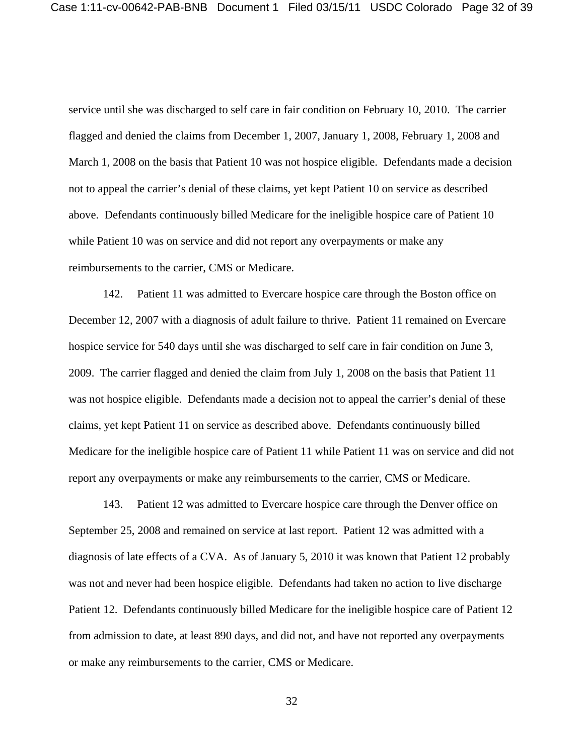service until she was discharged to self care in fair condition on February 10, 2010. The carrier flagged and denied the claims from December 1, 2007, January 1, 2008, February 1, 2008 and March 1, 2008 on the basis that Patient 10 was not hospice eligible. Defendants made a decision not to appeal the carrier's denial of these claims, yet kept Patient 10 on service as described above. Defendants continuously billed Medicare for the ineligible hospice care of Patient 10 while Patient 10 was on service and did not report any overpayments or make any reimbursements to the carrier, CMS or Medicare.

142. Patient 11 was admitted to Evercare hospice care through the Boston office on December 12, 2007 with a diagnosis of adult failure to thrive. Patient 11 remained on Evercare hospice service for 540 days until she was discharged to self care in fair condition on June 3, 2009. The carrier flagged and denied the claim from July 1, 2008 on the basis that Patient 11 was not hospice eligible. Defendants made a decision not to appeal the carrier's denial of these claims, yet kept Patient 11 on service as described above. Defendants continuously billed Medicare for the ineligible hospice care of Patient 11 while Patient 11 was on service and did not report any overpayments or make any reimbursements to the carrier, CMS or Medicare.

143. Patient 12 was admitted to Evercare hospice care through the Denver office on September 25, 2008 and remained on service at last report. Patient 12 was admitted with a diagnosis of late effects of a CVA. As of January 5, 2010 it was known that Patient 12 probably was not and never had been hospice eligible. Defendants had taken no action to live discharge Patient 12. Defendants continuously billed Medicare for the ineligible hospice care of Patient 12 from admission to date, at least 890 days, and did not, and have not reported any overpayments or make any reimbursements to the carrier, CMS or Medicare.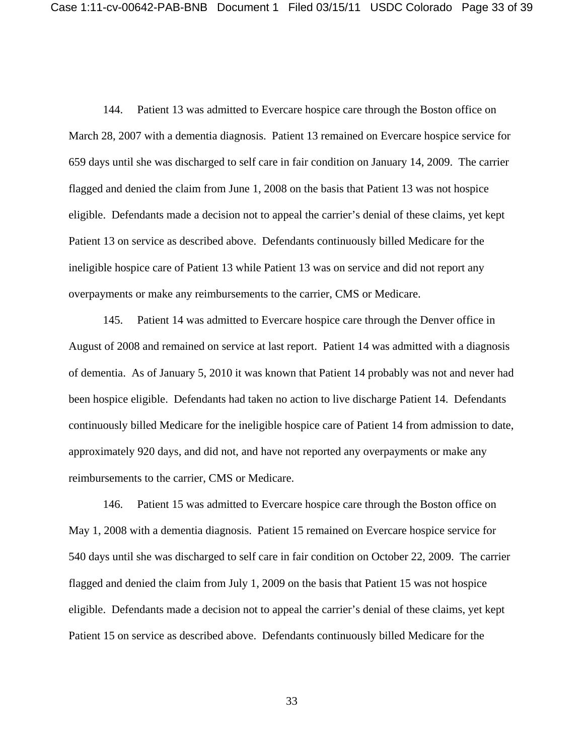144. Patient 13 was admitted to Evercare hospice care through the Boston office on March 28, 2007 with a dementia diagnosis. Patient 13 remained on Evercare hospice service for 659 days until she was discharged to self care in fair condition on January 14, 2009. The carrier flagged and denied the claim from June 1, 2008 on the basis that Patient 13 was not hospice eligible. Defendants made a decision not to appeal the carrier's denial of these claims, yet kept Patient 13 on service as described above. Defendants continuously billed Medicare for the ineligible hospice care of Patient 13 while Patient 13 was on service and did not report any overpayments or make any reimbursements to the carrier, CMS or Medicare.

145. Patient 14 was admitted to Evercare hospice care through the Denver office in August of 2008 and remained on service at last report. Patient 14 was admitted with a diagnosis of dementia. As of January 5, 2010 it was known that Patient 14 probably was not and never had been hospice eligible. Defendants had taken no action to live discharge Patient 14. Defendants continuously billed Medicare for the ineligible hospice care of Patient 14 from admission to date, approximately 920 days, and did not, and have not reported any overpayments or make any reimbursements to the carrier, CMS or Medicare.

146. Patient 15 was admitted to Evercare hospice care through the Boston office on May 1, 2008 with a dementia diagnosis. Patient 15 remained on Evercare hospice service for 540 days until she was discharged to self care in fair condition on October 22, 2009. The carrier flagged and denied the claim from July 1, 2009 on the basis that Patient 15 was not hospice eligible. Defendants made a decision not to appeal the carrier's denial of these claims, yet kept Patient 15 on service as described above. Defendants continuously billed Medicare for the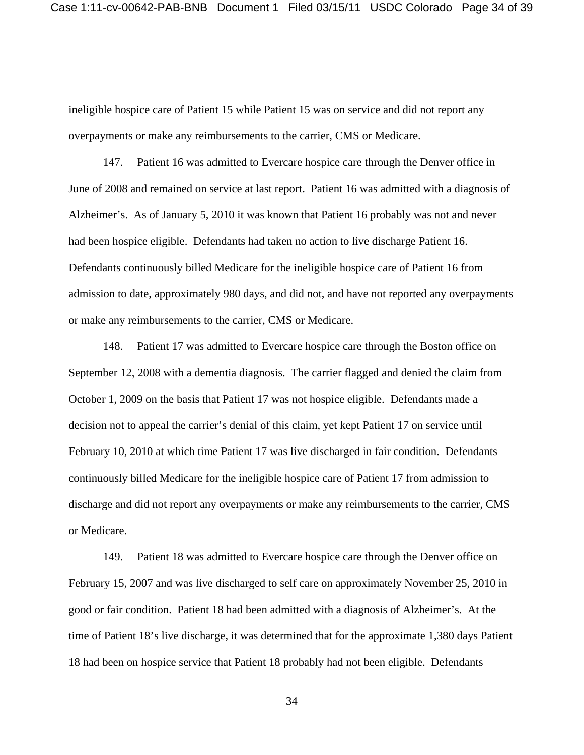ineligible hospice care of Patient 15 while Patient 15 was on service and did not report any overpayments or make any reimbursements to the carrier, CMS or Medicare.

147. Patient 16 was admitted to Evercare hospice care through the Denver office in June of 2008 and remained on service at last report. Patient 16 was admitted with a diagnosis of Alzheimer's. As of January 5, 2010 it was known that Patient 16 probably was not and never had been hospice eligible. Defendants had taken no action to live discharge Patient 16. Defendants continuously billed Medicare for the ineligible hospice care of Patient 16 from admission to date, approximately 980 days, and did not, and have not reported any overpayments or make any reimbursements to the carrier, CMS or Medicare.

148. Patient 17 was admitted to Evercare hospice care through the Boston office on September 12, 2008 with a dementia diagnosis. The carrier flagged and denied the claim from October 1, 2009 on the basis that Patient 17 was not hospice eligible. Defendants made a decision not to appeal the carrier's denial of this claim, yet kept Patient 17 on service until February 10, 2010 at which time Patient 17 was live discharged in fair condition. Defendants continuously billed Medicare for the ineligible hospice care of Patient 17 from admission to discharge and did not report any overpayments or make any reimbursements to the carrier, CMS or Medicare.

149. Patient 18 was admitted to Evercare hospice care through the Denver office on February 15, 2007 and was live discharged to self care on approximately November 25, 2010 in good or fair condition. Patient 18 had been admitted with a diagnosis of Alzheimer's. At the time of Patient 18's live discharge, it was determined that for the approximate 1,380 days Patient 18 had been on hospice service that Patient 18 probably had not been eligible. Defendants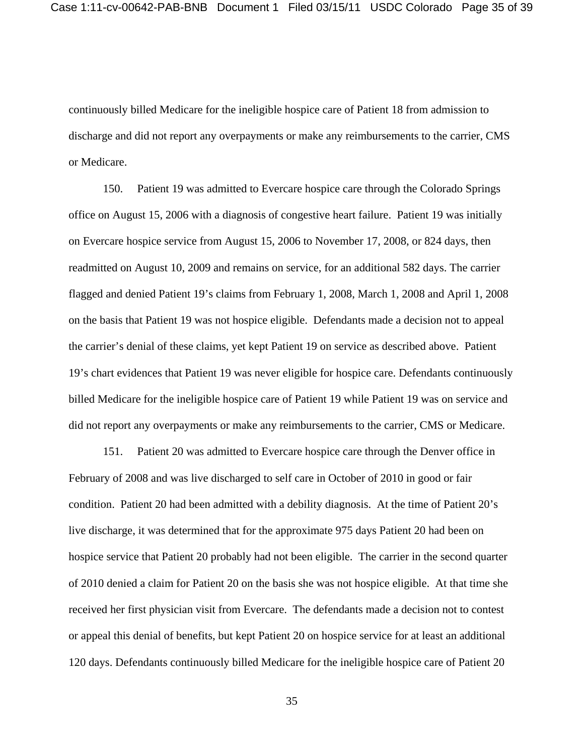continuously billed Medicare for the ineligible hospice care of Patient 18 from admission to discharge and did not report any overpayments or make any reimbursements to the carrier, CMS or Medicare.

150. Patient 19 was admitted to Evercare hospice care through the Colorado Springs office on August 15, 2006 with a diagnosis of congestive heart failure. Patient 19 was initially on Evercare hospice service from August 15, 2006 to November 17, 2008, or 824 days, then readmitted on August 10, 2009 and remains on service, for an additional 582 days. The carrier flagged and denied Patient 19's claims from February 1, 2008, March 1, 2008 and April 1, 2008 on the basis that Patient 19 was not hospice eligible. Defendants made a decision not to appeal the carrier's denial of these claims, yet kept Patient 19 on service as described above. Patient 19's chart evidences that Patient 19 was never eligible for hospice care. Defendants continuously billed Medicare for the ineligible hospice care of Patient 19 while Patient 19 was on service and did not report any overpayments or make any reimbursements to the carrier, CMS or Medicare.

151. Patient 20 was admitted to Evercare hospice care through the Denver office in February of 2008 and was live discharged to self care in October of 2010 in good or fair condition. Patient 20 had been admitted with a debility diagnosis. At the time of Patient 20's live discharge, it was determined that for the approximate 975 days Patient 20 had been on hospice service that Patient 20 probably had not been eligible. The carrier in the second quarter of 2010 denied a claim for Patient 20 on the basis she was not hospice eligible. At that time she received her first physician visit from Evercare. The defendants made a decision not to contest or appeal this denial of benefits, but kept Patient 20 on hospice service for at least an additional 120 days. Defendants continuously billed Medicare for the ineligible hospice care of Patient 20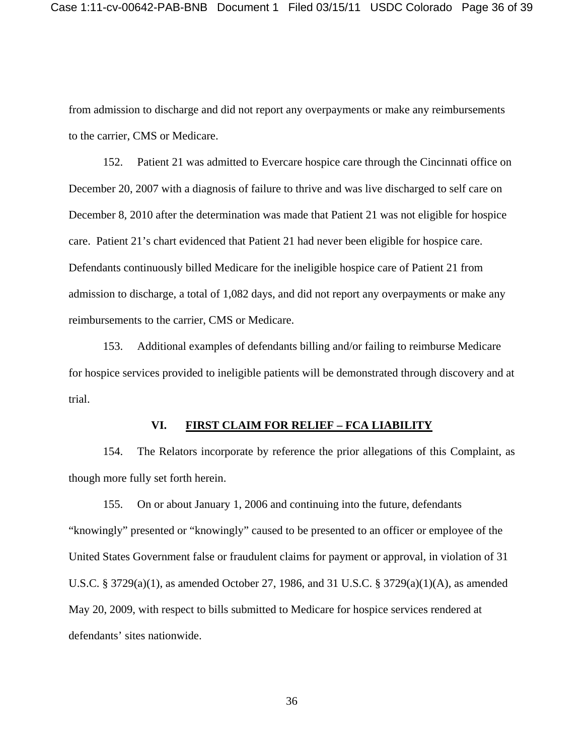from admission to discharge and did not report any overpayments or make any reimbursements to the carrier, CMS or Medicare.

152. Patient 21 was admitted to Evercare hospice care through the Cincinnati office on December 20, 2007 with a diagnosis of failure to thrive and was live discharged to self care on December 8, 2010 after the determination was made that Patient 21 was not eligible for hospice care. Patient 21's chart evidenced that Patient 21 had never been eligible for hospice care. Defendants continuously billed Medicare for the ineligible hospice care of Patient 21 from admission to discharge, a total of 1,082 days, and did not report any overpayments or make any reimbursements to the carrier, CMS or Medicare.

153. Additional examples of defendants billing and/or failing to reimburse Medicare for hospice services provided to ineligible patients will be demonstrated through discovery and at trial.

#### **VI. FIRST CLAIM FOR RELIEF – FCA LIABILITY**

154. The Relators incorporate by reference the prior allegations of this Complaint, as though more fully set forth herein.

155. On or about January 1, 2006 and continuing into the future, defendants "knowingly" presented or "knowingly" caused to be presented to an officer or employee of the United States Government false or fraudulent claims for payment or approval, in violation of 31 U.S.C. § 3729(a)(1), as amended October 27, 1986, and 31 U.S.C. § 3729(a)(1)(A), as amended May 20, 2009, with respect to bills submitted to Medicare for hospice services rendered at defendants' sites nationwide.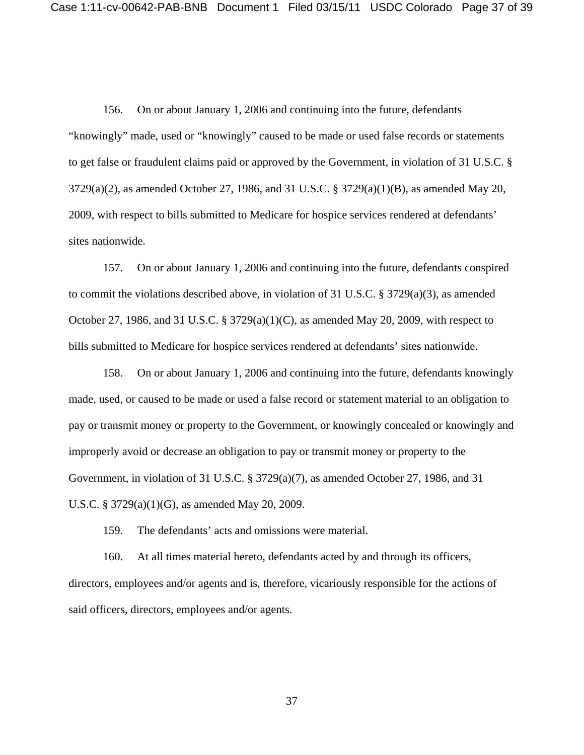156. On or about January 1, 2006 and continuing into the future, defendants "knowingly" made, used or "knowingly" caused to be made or used false records or statements to get false or fraudulent claims paid or approved by the Government, in violation of 31 U.S.C. § 3729(a)(2), as amended October 27, 1986, and 31 U.S.C. § 3729(a)(1)(B), as amended May 20, 2009, with respect to bills submitted to Medicare for hospice services rendered at defendants' sites nationwide.

157. On or about January 1, 2006 and continuing into the future, defendants conspired to commit the violations described above, in violation of 31 U.S.C. § 3729(a)(3), as amended October 27, 1986, and 31 U.S.C. § 3729(a)(1)(C), as amended May 20, 2009, with respect to bills submitted to Medicare for hospice services rendered at defendants' sites nationwide.

158. On or about January 1, 2006 and continuing into the future, defendants knowingly made, used, or caused to be made or used a false record or statement material to an obligation to pay or transmit money or property to the Government, or knowingly concealed or knowingly and improperly avoid or decrease an obligation to pay or transmit money or property to the Government, in violation of 31 U.S.C. § 3729(a)(7), as amended October 27, 1986, and 31 U.S.C. § 3729(a)(1)(G), as amended May 20, 2009.

159. The defendants' acts and omissions were material.

160. At all times material hereto, defendants acted by and through its officers, directors, employees and/or agents and is, therefore, vicariously responsible for the actions of said officers, directors, employees and/or agents.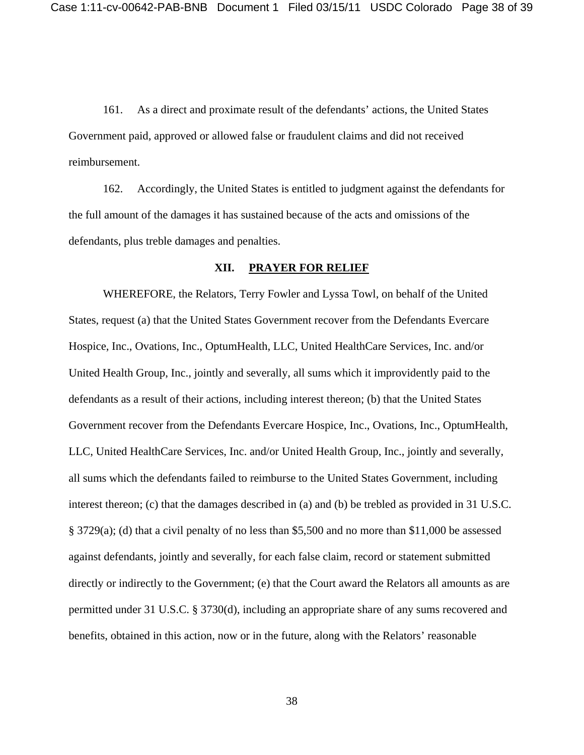161. As a direct and proximate result of the defendants' actions, the United States Government paid, approved or allowed false or fraudulent claims and did not received reimbursement.

162. Accordingly, the United States is entitled to judgment against the defendants for the full amount of the damages it has sustained because of the acts and omissions of the defendants, plus treble damages and penalties.

#### **XII. PRAYER FOR RELIEF**

WHEREFORE, the Relators, Terry Fowler and Lyssa Towl, on behalf of the United States, request (a) that the United States Government recover from the Defendants Evercare Hospice, Inc., Ovations, Inc., OptumHealth, LLC, United HealthCare Services, Inc. and/or United Health Group, Inc., jointly and severally, all sums which it improvidently paid to the defendants as a result of their actions, including interest thereon; (b) that the United States Government recover from the Defendants Evercare Hospice, Inc., Ovations, Inc., OptumHealth, LLC, United HealthCare Services, Inc. and/or United Health Group, Inc., jointly and severally, all sums which the defendants failed to reimburse to the United States Government, including interest thereon; (c) that the damages described in (a) and (b) be trebled as provided in 31 U.S.C. § 3729(a); (d) that a civil penalty of no less than \$5,500 and no more than \$11,000 be assessed against defendants, jointly and severally, for each false claim, record or statement submitted directly or indirectly to the Government; (e) that the Court award the Relators all amounts as are permitted under 31 U.S.C. § 3730(d), including an appropriate share of any sums recovered and benefits, obtained in this action, now or in the future, along with the Relators' reasonable